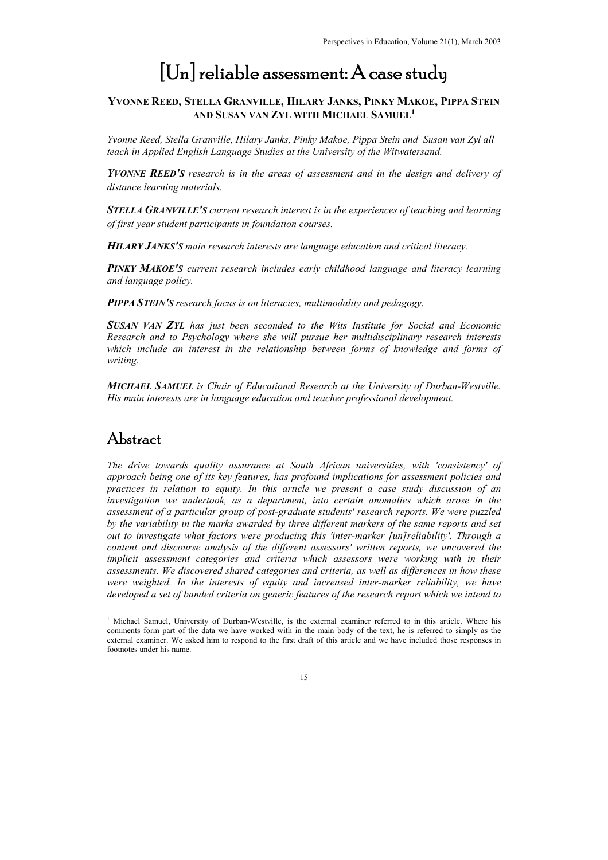# [Un] reliable assessment: A case study

### **YVONNE REED, STELLA GRANVILLE, HILARY JANKS, PINKY MAKOE, PIPPA STEIN AND SUSAN VAN ZYL WITH MICHAEL SAMUEL1**

*Yvonne Reed, Stella Granville, Hilary Janks, Pinky Makoe, Pippa Stein and Susan van Zyl all teach in Applied English Language Studies at the University of the Witwatersand.*

*YVONNE REED'S research is in the areas of assessment and in the design and delivery of distance learning materials.*

*STELLA GRANVILLE'S current research interest is in the experiences of teaching and learning of first year student participants in foundation courses.*

*HILARY JANKS'S main research interests are language education and critical literacy.*

*PINKY MAKOE'S current research includes early childhood language and literacy learning and language policy.*

*PIPPA STEIN'S research focus is on literacies, multimodality and pedagogy.*

*SUSAN VAN ZYL has just been seconded to the Wits Institute for Social and Economic Research and to Psychology where she will pursue her multidisciplinary research interests which include an interest in the relationship between forms of knowledge and forms of writing.*

*MICHAEL SAMUEL is Chair of Educational Research at the University of Durban-Westville. His main interests are in language education and teacher professional development.*

# Abstract

*The drive towards quality assurance at South African universities, with 'consistency' of approach being one of its key features, has profound implications for assessment policies and practices in relation to equity. In this article we present a case study discussion of an investigation we undertook, as a department, into certain anomalies which arose in the assessment of a particular group of post-graduate students' research reports. We were puzzled by the variability in the marks awarded by three different markers of the same reports and set out to investigate what factors were producing this 'inter-marker [un]reliability'. Through a content and discourse analysis of the different assessors' written reports, we uncovered the implicit assessment categories and criteria which assessors were working with in their assessments. We discovered shared categories and criteria, as well as differences in how these were weighted. In the interests of equity and increased inter-marker reliability, we have developed a set of banded criteria on generic features of the research report which we intend to*

<sup>&</sup>lt;sup>1</sup> Michael Samuel, University of Durban-Westville, is the external examiner referred to in this article. Where his comments form part of the data we have worked with in the main body of the text, he is referred to simply as the external examiner. We asked him to respond to the first draft of this article and we have included those responses in footnotes under his name.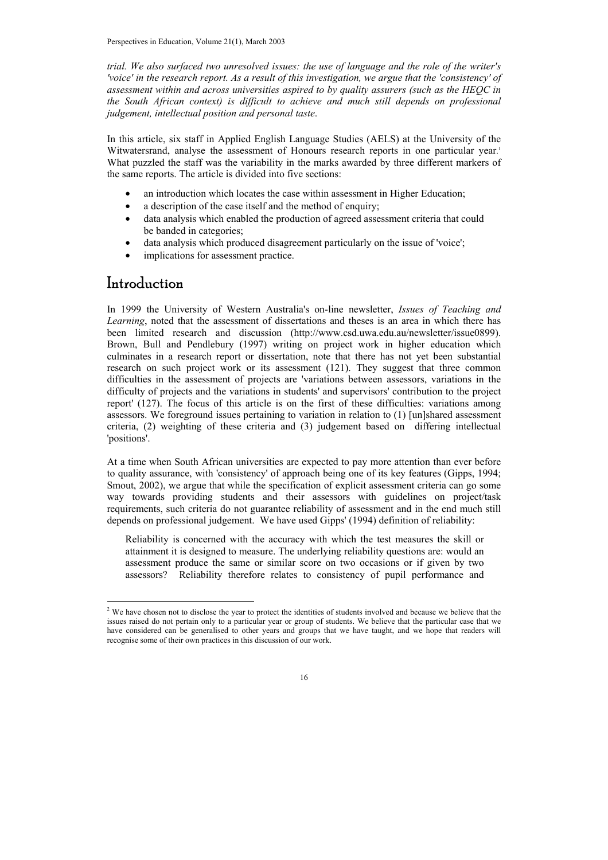Perspectives in Education, Volume 21(1), March 2003

*trial. We also surfaced two unresolved issues: the use of language and the role of the writer's 'voice' in the research report. As a result of this investigation, we argue that the 'consistency' of assessment within and across universities aspired to by quality assurers (such as the HEQC in the South African context) is difficult to achieve and much still depends on professional judgement, intellectual position and personal taste*.

In this article, six staff in Applied English Language Studies (AELS) at the University of the Witwatersrand, analyse the assessment of Honours research reports in one particular year.<sup>1</sup> What puzzled the staff was the variability in the marks awarded by three different markers of the same reports. The article is divided into five sections:

- an introduction which locates the case within assessment in Higher Education;
- a description of the case itself and the method of enquiry;
- data analysis which enabled the production of agreed assessment criteria that could be banded in categories;
- data analysis which produced disagreement particularly on the issue of 'voice';
- implications for assessment practice.

# Introduction

In 1999 the University of Western Australia's on-line newsletter, *Issues of Teaching and Learning*, noted that the assessment of dissertations and theses is an area in which there has been limited research and discussion (http://www.csd.uwa.edu.au/newsletter/issue0899). Brown, Bull and Pendlebury (1997) writing on project work in higher education which culminates in a research report or dissertation, note that there has not yet been substantial research on such project work or its assessment (121). They suggest that three common difficulties in the assessment of projects are 'variations between assessors, variations in the difficulty of projects and the variations in students' and supervisors' contribution to the project report' (127). The focus of this article is on the first of these difficulties: variations among assessors. We foreground issues pertaining to variation in relation to (1) [un]shared assessment criteria, (2) weighting of these criteria and (3) judgement based on differing intellectual 'positions'.

At a time when South African universities are expected to pay more attention than ever before to quality assurance, with 'consistency' of approach being one of its key features (Gipps, 1994; Smout, 2002), we argue that while the specification of explicit assessment criteria can go some way towards providing students and their assessors with guidelines on project/task requirements, such criteria do not guarantee reliability of assessment and in the end much still depends on professional judgement. We have used Gipps' (1994) definition of reliability:

Reliability is concerned with the accuracy with which the test measures the skill or attainment it is designed to measure. The underlying reliability questions are: would an assessment produce the same or similar score on two occasions or if given by two assessors? Reliability therefore relates to consistency of pupil performance and

<sup>&</sup>lt;sup>2</sup> We have chosen not to disclose the year to protect the identities of students involved and because we believe that the issues raised do not pertain only to a particular year or group of students. We believe that the particular case that we have considered can be generalised to other years and groups that we have taught, and we hope that readers will recognise some of their own practices in this discussion of our work.

<sup>16</sup>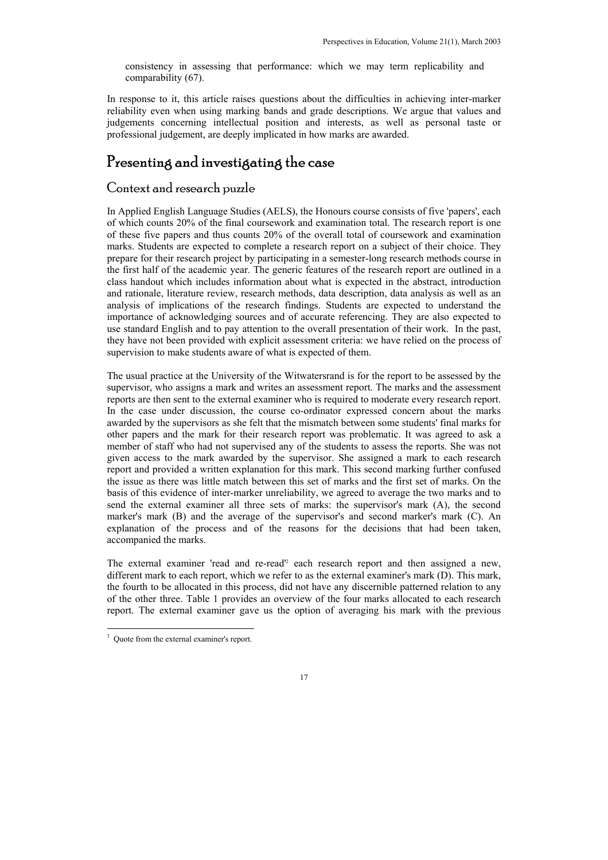consistency in assessing that performance: which we may term replicability and comparability (67).

In response to it, this article raises questions about the difficulties in achieving inter-marker reliability even when using marking bands and grade descriptions. We argue that values and judgements concerning intellectual position and interests, as well as personal taste or professional judgement, are deeply implicated in how marks are awarded.

# Presenting and investigating the case

### Context and research puzzle

In Applied English Language Studies (AELS), the Honours course consists of five 'papers', each of which counts 20% of the final coursework and examination total. The research report is one of these five papers and thus counts 20% of the overall total of coursework and examination marks. Students are expected to complete a research report on a subject of their choice. They prepare for their research project by participating in a semester-long research methods course in the first half of the academic year. The generic features of the research report are outlined in a class handout which includes information about what is expected in the abstract, introduction and rationale, literature review, research methods, data description, data analysis as well as an analysis of implications of the research findings. Students are expected to understand the importance of acknowledging sources and of accurate referencing. They are also expected to use standard English and to pay attention to the overall presentation of their work. In the past, they have not been provided with explicit assessment criteria: we have relied on the process of supervision to make students aware of what is expected of them.

The usual practice at the University of the Witwatersrand is for the report to be assessed by the supervisor, who assigns a mark and writes an assessment report. The marks and the assessment reports are then sent to the external examiner who is required to moderate every research report. In the case under discussion, the course co-ordinator expressed concern about the marks awarded by the supervisors as she felt that the mismatch between some students' final marks for other papers and the mark for their research report was problematic. It was agreed to ask a member of staff who had not supervised any of the students to assess the reports. She was not given access to the mark awarded by the supervisor. She assigned a mark to each research report and provided a written explanation for this mark. This second marking further confused the issue as there was little match between this set of marks and the first set of marks. On the basis of this evidence of inter-marker unreliability, we agreed to average the two marks and to send the external examiner all three sets of marks: the supervisor's mark (A), the second marker's mark (B) and the average of the supervisor's and second marker's mark (C). An explanation of the process and of the reasons for the decisions that had been taken, accompanied the marks.

The external examiner 'read and re-read'<sup>2</sup> each research report and then assigned a new, different mark to each report, which we refer to as the external examiner's mark (D). This mark, the fourth to be allocated in this process, did not have any discernible patterned relation to any of the other three. Table 1 provides an overview of the four marks allocated to each research report. The external examiner gave us the option of averaging his mark with the previous

<sup>&</sup>lt;sup>3</sup> Ouote from the external examiner's report.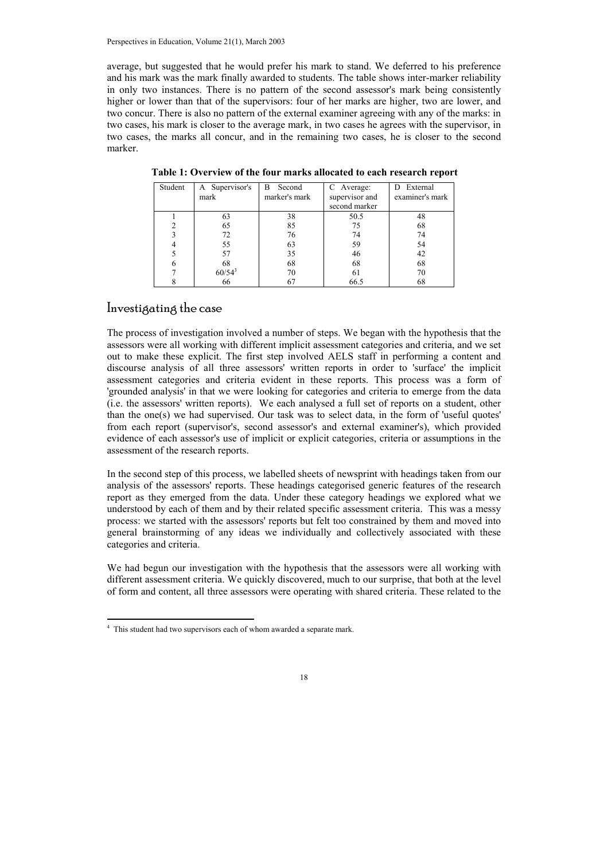Perspectives in Education, Volume 21(1), March 2003

average, but suggested that he would prefer his mark to stand. We deferred to his preference and his mark was the mark finally awarded to students. The table shows inter-marker reliability in only two instances. There is no pattern of the second assessor's mark being consistently higher or lower than that of the supervisors: four of her marks are higher, two are lower, and two concur. There is also no pattern of the external examiner agreeing with any of the marks: in two cases, his mark is closer to the average mark, in two cases he agrees with the supervisor, in two cases, the marks all concur, and in the remaining two cases, he is closer to the second marker.

| Student | A Supervisor's<br>mark | C Average:<br>B<br>Second<br>marker's mark<br>supervisor and |               | External<br>D<br>examiner's mark |  |
|---------|------------------------|--------------------------------------------------------------|---------------|----------------------------------|--|
|         |                        |                                                              | second marker |                                  |  |
|         | 63                     | 38                                                           | 50.5          | 48                               |  |
|         | 65                     | 85                                                           | 75            | 68                               |  |
|         | 72                     | 76                                                           | 74            | 74                               |  |
|         | 55                     | 63                                                           | 59            | 54                               |  |
|         | 57                     | 35                                                           | 46            | 42                               |  |
|         | 68                     | 68                                                           | 68            | 68                               |  |
|         | $60/54^3$              | 70                                                           | 61            | 70                               |  |
|         | 66                     | 67                                                           | 66.5          | 68                               |  |

**Table 1: Overview of the four marks allocated to each research report**

### Investigating the case

The process of investigation involved a number of steps. We began with the hypothesis that the assessors were all working with different implicit assessment categories and criteria, and we set out to make these explicit. The first step involved AELS staff in performing a content and discourse analysis of all three assessors' written reports in order to 'surface' the implicit assessment categories and criteria evident in these reports. This process was a form of 'grounded analysis' in that we were looking for categories and criteria to emerge from the data (i.e. the assessors' written reports). We each analysed a full set of reports on a student, other than the one $(s)$  we had supervised. Our task was to select data, in the form of 'useful quotes' from each report (supervisor's, second assessor's and external examiner's), which provided evidence of each assessor's use of implicit or explicit categories, criteria or assumptions in the assessment of the research reports.

In the second step of this process, we labelled sheets of newsprint with headings taken from our analysis of the assessors' reports. These headings categorised generic features of the research report as they emerged from the data. Under these category headings we explored what we understood by each of them and by their related specific assessment criteria. This was a messy process: we started with the assessors' reports but felt too constrained by them and moved into general brainstorming of any ideas we individually and collectively associated with these categories and criteria.

We had begun our investigation with the hypothesis that the assessors were all working with different assessment criteria. We quickly discovered, much to our surprise, that both at the level of form and content, all three assessors were operating with shared criteria. These related to the

<sup>&</sup>lt;sup>4</sup> This student had two supervisors each of whom awarded a separate mark.

<sup>18</sup>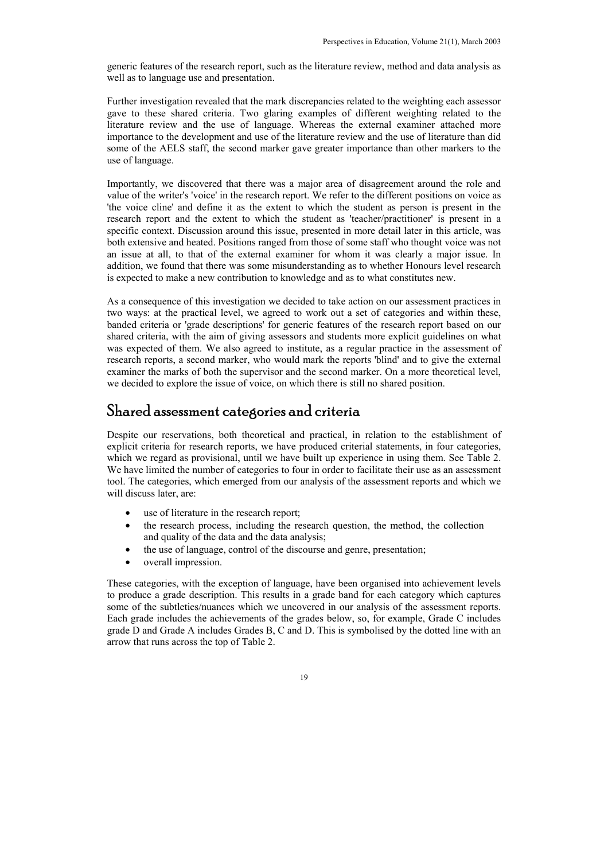generic features of the research report, such as the literature review, method and data analysis as well as to language use and presentation.

Further investigation revealed that the mark discrepancies related to the weighting each assessor gave to these shared criteria. Two glaring examples of different weighting related to the literature review and the use of language. Whereas the external examiner attached more importance to the development and use of the literature review and the use of literature than did some of the AELS staff, the second marker gave greater importance than other markers to the use of language.

Importantly, we discovered that there was a major area of disagreement around the role and value of the writer's 'voice' in the research report. We refer to the different positions on voice as 'the voice cline' and define it as the extent to which the student as person is present in the research report and the extent to which the student as 'teacher/practitioner' is present in a specific context. Discussion around this issue, presented in more detail later in this article, was both extensive and heated. Positions ranged from those of some staff who thought voice was not an issue at all, to that of the external examiner for whom it was clearly a major issue. In addition, we found that there was some misunderstanding as to whether Honours level research is expected to make a new contribution to knowledge and as to what constitutes new.

As a consequence of this investigation we decided to take action on our assessment practices in two ways: at the practical level, we agreed to work out a set of categories and within these, banded criteria or 'grade descriptions' for generic features of the research report based on our shared criteria, with the aim of giving assessors and students more explicit guidelines on what was expected of them. We also agreed to institute, as a regular practice in the assessment of research reports, a second marker, who would mark the reports 'blind' and to give the external examiner the marks of both the supervisor and the second marker. On a more theoretical level, we decided to explore the issue of voice, on which there is still no shared position.

# Shared assessment categories and criteria

Despite our reservations, both theoretical and practical, in relation to the establishment of explicit criteria for research reports, we have produced criterial statements, in four categories, which we regard as provisional, until we have built up experience in using them. See Table 2. We have limited the number of categories to four in order to facilitate their use as an assessment tool. The categories, which emerged from our analysis of the assessment reports and which we will discuss later, are:

- use of literature in the research report;
- the research process, including the research question, the method, the collection and quality of the data and the data analysis;
- the use of language, control of the discourse and genre, presentation;
- overall impression.

These categories, with the exception of language, have been organised into achievement levels to produce a grade description. This results in a grade band for each category which captures some of the subtleties/nuances which we uncovered in our analysis of the assessment reports. Each grade includes the achievements of the grades below, so, for example, Grade C includes grade D and Grade A includes Grades B, C and D. This is symbolised by the dotted line with an arrow that runs across the top of Table 2.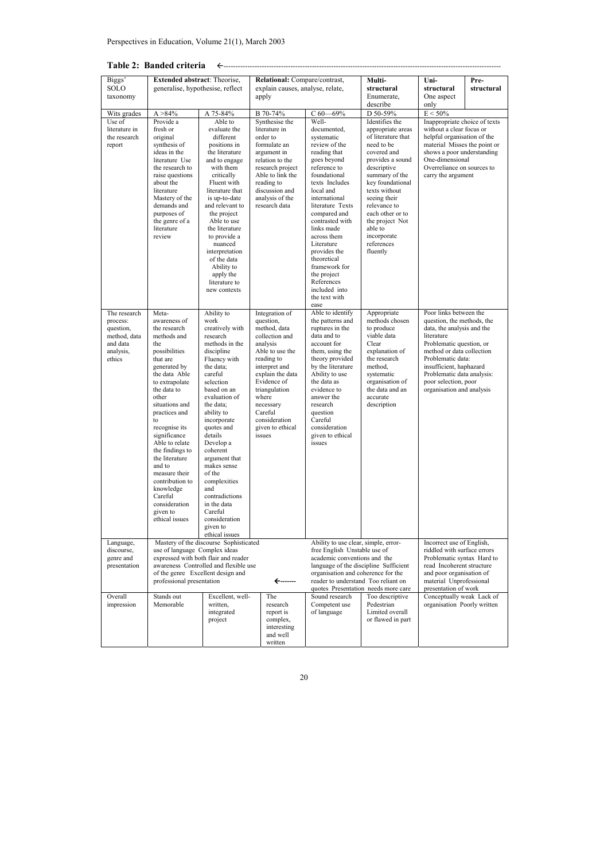| Table 2: Banded criteria | ←--------------- |
|--------------------------|------------------|
|--------------------------|------------------|

| Biggs'<br><b>SOLO</b><br>taxonomy                                                        | <b>Extended abstract:</b> Theorise,<br>generalise, hypothesise, reflect                                                                                                                                                                                                                                                                                                                                                   |                                                                                                                                                                                                                                                                                                                                                                                                                                | Relational: Compare/contrast,<br>explain causes, analyse, relate,<br>apply                                                                                                                                                                                      |                                                                                                                                                                                                                                                                                                                                                                                                          | Multi-<br>structural<br>Enumerate,                                                                                                                                                                                                                                                                                      | Uni-<br>structural<br>One aspect                                                                                                                                                                                                                                                             | Pre-<br>structural |
|------------------------------------------------------------------------------------------|---------------------------------------------------------------------------------------------------------------------------------------------------------------------------------------------------------------------------------------------------------------------------------------------------------------------------------------------------------------------------------------------------------------------------|--------------------------------------------------------------------------------------------------------------------------------------------------------------------------------------------------------------------------------------------------------------------------------------------------------------------------------------------------------------------------------------------------------------------------------|-----------------------------------------------------------------------------------------------------------------------------------------------------------------------------------------------------------------------------------------------------------------|----------------------------------------------------------------------------------------------------------------------------------------------------------------------------------------------------------------------------------------------------------------------------------------------------------------------------------------------------------------------------------------------------------|-------------------------------------------------------------------------------------------------------------------------------------------------------------------------------------------------------------------------------------------------------------------------------------------------------------------------|----------------------------------------------------------------------------------------------------------------------------------------------------------------------------------------------------------------------------------------------------------------------------------------------|--------------------|
|                                                                                          |                                                                                                                                                                                                                                                                                                                                                                                                                           |                                                                                                                                                                                                                                                                                                                                                                                                                                |                                                                                                                                                                                                                                                                 |                                                                                                                                                                                                                                                                                                                                                                                                          | describe                                                                                                                                                                                                                                                                                                                | only                                                                                                                                                                                                                                                                                         |                    |
| Wits grades<br>Use of<br>literature in<br>the research<br>report                         | $A > 84\%$<br>Provide a<br>fresh or<br>original<br>synthesis of<br>ideas in the<br>literature Use<br>the research to<br>raise questions<br>about the<br>literature<br>Mastery of the<br>demands and<br>purposes of<br>the genre of a<br>literature<br>review                                                                                                                                                              | A 75-84%<br>Able to<br>evaluate the<br>different<br>positions in<br>the literature<br>and to engage<br>with them<br>critically<br>Fluent with<br>literature that<br>is up-to-date<br>and relevant to<br>the project<br>Able to use<br>the literature<br>to provide a<br>nuanced<br>interpretation<br>of the data<br>Ability to<br>apply the<br>literature to<br>new contexts                                                   | B 70-74%<br>Synthesise the<br>literature in<br>order to<br>formulate an<br>argument in<br>relation to the<br>research project<br>Able to link the<br>reading to<br>discussion and<br>analysis of the<br>research data                                           | $-69\%$<br>$C60-$<br>Well-<br>documented,<br>systematic<br>review of the<br>reading that<br>goes beyond<br>reference to<br>foundational<br>texts Includes<br>local and<br>international<br>literature Texts<br>compared and<br>contrasted with<br>links made<br>across them<br>Literature<br>provides the<br>theoretical<br>framework for<br>the project<br>References<br>included into<br>the text with | D 50-59%<br>Identifies the<br>appropriate areas<br>of literature that<br>need to be<br>covered and<br>provides a sound<br>descriptive<br>summary of the<br>key foundational<br>texts without<br>seeing their<br>relevance to<br>each other or to<br>the project Not<br>able to<br>incorporate<br>references<br>fluently | $E < 50\%$<br>Inappropriate choice of texts<br>without a clear focus or<br>helpful organisation of the<br>material Misses the point or<br>shows a poor understanding<br>One-dimensional<br>Overreliance on sources to<br>carry the argument                                                  |                    |
| The research<br>process:<br>question,<br>method, data<br>and data<br>analysis.<br>ethics | Meta-<br>awareness of<br>the research<br>methods and<br>the<br>possibilities<br>that are<br>generated by<br>the data Able<br>to extrapolate<br>the data to<br>other<br>situations and<br>practices and<br>to<br>recognise its<br>significance<br>Able to relate<br>the findings to<br>the literature<br>and to<br>measure their<br>contribution to<br>knowledge<br>Careful<br>consideration<br>given to<br>ethical issues | Ability to<br>work<br>creatively with<br>research<br>methods in the<br>discipline<br>Fluency with<br>the data;<br>careful<br>selection<br>based on an<br>evaluation of<br>the data;<br>ability to<br>incorporate<br>quotes and<br>details<br>Develop a<br>coherent<br>argument that<br>makes sense<br>of the<br>complexities<br>and<br>contradictions<br>in the data<br>Careful<br>consideration<br>given to<br>ethical issues | Integration of<br>question.<br>method, data<br>collection and<br>analysis<br>Able to use the<br>reading to<br>interpret and<br>explain the data<br>Evidence of<br>triangulation<br>where<br>necessary<br>Careful<br>consideration<br>given to ethical<br>issues | ease<br>Able to identify<br>the patterns and<br>ruptures in the<br>data and to<br>account for<br>them, using the<br>theory provided<br>by the literature<br>Ability to use<br>the data as<br>evidence to<br>answer the<br>research<br>question<br>Careful<br>consideration<br>given to ethical<br>issues                                                                                                 | Appropriate<br>methods chosen<br>to produce<br>viable data<br>Clear<br>explanation of<br>the research<br>method,<br>systematic<br>organisation of<br>the data and an<br>accurate<br>description                                                                                                                         | Poor links between the<br>question, the methods, the<br>data, the analysis and the<br>literature<br>Problematic question, or<br>method or data collection<br>Problematic data:<br>insufficient, haphazard<br>Problematic data analysis:<br>poor selection, poor<br>organisation and analysis |                    |
| Language,<br>discourse,<br>genre and<br>presentation                                     | Mastery of the discourse Sophisticated<br>use of language Complex ideas<br>expressed with both flair and reader<br>awareness Controlled and flexible use<br>of the genre Excellent design and<br>professional presentation<br>←-------                                                                                                                                                                                    |                                                                                                                                                                                                                                                                                                                                                                                                                                |                                                                                                                                                                                                                                                                 | Ability to use clear, simple, error-<br>free English Unstable use of<br>academic conventions and the<br>language of the discipline Sufficient<br>organisation and coherence for the<br>reader to understand Too reliant on<br>quotes Presentation needs more care                                                                                                                                        |                                                                                                                                                                                                                                                                                                                         | Incorrect use of English,<br>riddled with surface errors<br>Problematic syntax Hard to<br>read Incoherent structure<br>and poor organisation of<br>material Unprofessional<br>presentation of work                                                                                           |                    |
| Overall<br>impression                                                                    | Stands out<br>Memorable                                                                                                                                                                                                                                                                                                                                                                                                   | Excellent, well-<br>written,<br>integrated<br>project                                                                                                                                                                                                                                                                                                                                                                          | The<br>research<br>report is<br>complex,<br>interesting<br>and well<br>written                                                                                                                                                                                  | Sound research<br>Competent use<br>of language                                                                                                                                                                                                                                                                                                                                                           | Too descriptive<br>Pedestrian<br>Limited overall<br>or flawed in part                                                                                                                                                                                                                                                   | Conceptually weak Lack of<br>organisation Poorly written                                                                                                                                                                                                                                     |                    |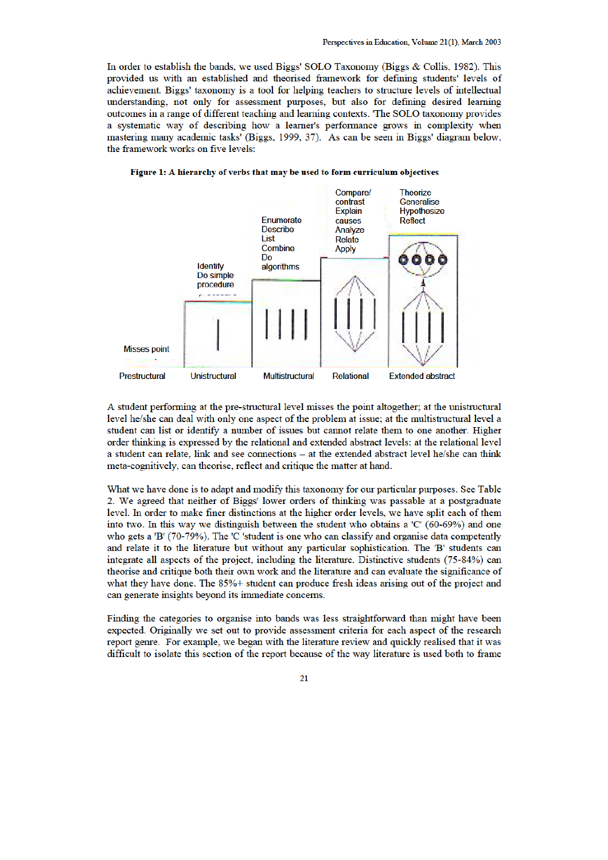In order to establish the bands, we used Biggs' SOLO Taxonomy (Biggs & Collis, 1982). This provided us with an established and theorised framework for defining students' levels of achievement. Biggs' taxonomy is a tool for helping teachers to structure levels of intellectual understanding, not only for assessment purposes, but also for defining desired learning outcomes in a range of different teaching and learning contexts. The SOLO taxonomy provides a systematic way of describing how a learner's performance grows in complexity when mastering many academic tasks' (Biggs, 1999, 37). As can be seen in Biggs' diagram below, the framework works on five levels:



Figure 1: A hierarchy of verbs that may be used to form curriculum objectives

A student performing at the pre-structural level misses the point altogether; at the unistructural level he/she can deal with only one aspect of the problem at issue; at the multistructural level a student can list or identify a number of issues but cannot relate them to one another. Higher order thinking is expressed by the relational and extended abstract levels: at the relational level a student can relate, link and see connections - at the extended abstract level he/she can think meta-cognitively, can theorise, reflect and critique the matter at hand.

What we have done is to adapt and modify this taxonomy for our particular purposes. See Table 2. We agreed that neither of Biggs' lower orders of thinking was passable at a postgraduate level. In order to make finer distinctions at the higher order levels, we have split each of them into two. In this way we distinguish between the student who obtains a 'C' (60-69%) and one who gets a 'B' (70-79%). The 'C 'student is one who can classify and organise data competently and relate it to the literature but without any particular sophistication. The 'B' students can integrate all aspects of the project, including the literature. Distinctive students (75-84%) can theorise and critique both their own work and the literature and can evaluate the significance of what they have done. The 85%+ student can produce fresh ideas arising out of the project and can generate insights beyond its immediate concerns.

Finding the categories to organise into bands was less straightforward than might have been expected. Originally we set out to provide assessment criteria for each aspect of the research report genre. For example, we began with the literature review and quickly realised that it was difficult to isolate this section of the report because of the way literature is used both to frame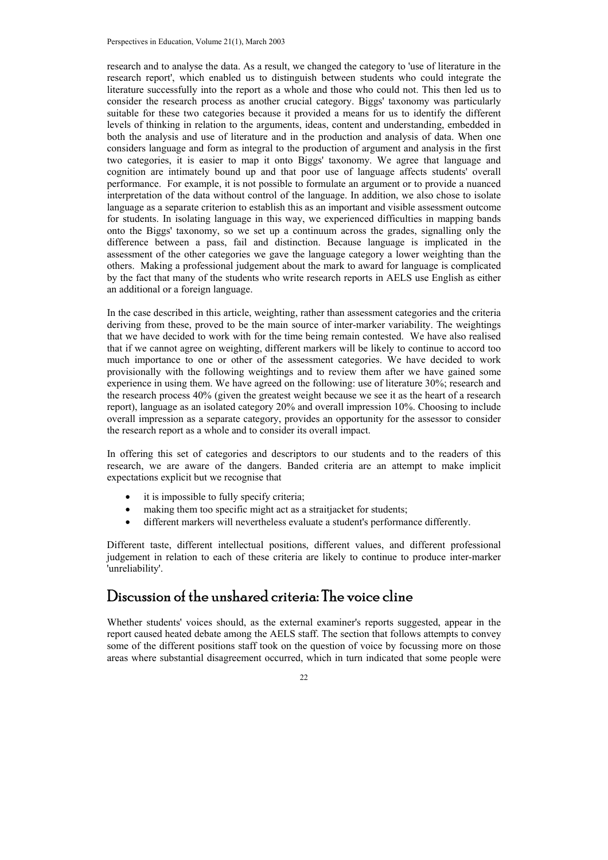research and to analyse the data. As a result, we changed the category to 'use of literature in the research report', which enabled us to distinguish between students who could integrate the literature successfully into the report as a whole and those who could not. This then led us to consider the research process as another crucial category. Biggs' taxonomy was particularly suitable for these two categories because it provided a means for us to identify the different levels of thinking in relation to the arguments, ideas, content and understanding, embedded in both the analysis and use of literature and in the production and analysis of data. When one considers language and form as integral to the production of argument and analysis in the first two categories, it is easier to map it onto Biggs' taxonomy. We agree that language and cognition are intimately bound up and that poor use of language affects students' overall performance. For example, it is not possible to formulate an argument or to provide a nuanced interpretation of the data without control of the language. In addition, we also chose to isolate language as a separate criterion to establish this as an important and visible assessment outcome for students. In isolating language in this way, we experienced difficulties in mapping bands onto the Biggs' taxonomy, so we set up a continuum across the grades, signalling only the difference between a pass, fail and distinction. Because language is implicated in the assessment of the other categories we gave the language category a lower weighting than the others. Making a professional judgement about the mark to award for language is complicated by the fact that many of the students who write research reports in AELS use English as either an additional or a foreign language.

In the case described in this article, weighting, rather than assessment categories and the criteria deriving from these, proved to be the main source of inter-marker variability. The weightings that we have decided to work with for the time being remain contested. We have also realised that if we cannot agree on weighting, different markers will be likely to continue to accord too much importance to one or other of the assessment categories. We have decided to work provisionally with the following weightings and to review them after we have gained some experience in using them. We have agreed on the following: use of literature 30%; research and the research process 40% (given the greatest weight because we see it as the heart of a research report), language as an isolated category 20% and overall impression 10%. Choosing to include overall impression as a separate category, provides an opportunity for the assessor to consider the research report as a whole and to consider its overall impact.

In offering this set of categories and descriptors to our students and to the readers of this research, we are aware of the dangers. Banded criteria are an attempt to make implicit expectations explicit but we recognise that

- it is impossible to fully specify criteria;
- making them too specific might act as a straitjacket for students;
- different markers will nevertheless evaluate a student's performance differently.

Different taste, different intellectual positions, different values, and different professional judgement in relation to each of these criteria are likely to continue to produce inter-marker 'unreliability'.

## Discussion of the unshared criteria: The voice cline

Whether students' voices should, as the external examiner's reports suggested, appear in the report caused heated debate among the AELS staff. The section that follows attempts to convey some of the different positions staff took on the question of voice by focussing more on those areas where substantial disagreement occurred, which in turn indicated that some people were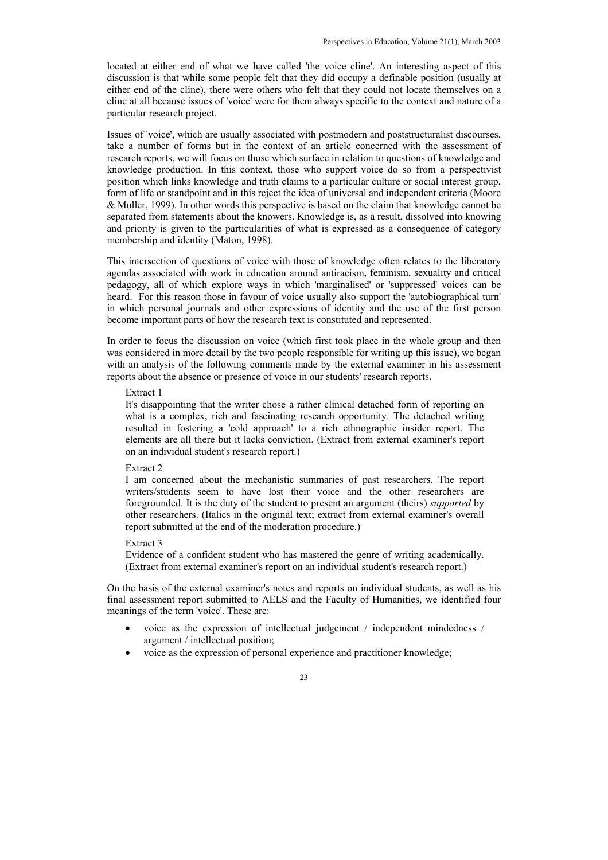located at either end of what we have called 'the voice cline'. An interesting aspect of this discussion is that while some people felt that they did occupy a definable position (usually at either end of the cline), there were others who felt that they could not locate themselves on a cline at all because issues of 'voice' were for them always specific to the context and nature of a particular research project.

Issues of 'voice', which are usually associated with postmodern and poststructuralist discourses, take a number of forms but in the context of an article concerned with the assessment of research reports, we will focus on those which surface in relation to questions of knowledge and knowledge production. In this context, those who support voice do so from a perspectivist position which links knowledge and truth claims to a particular culture or social interest group, form of life or standpoint and in this reject the idea of universal and independent criteria (Moore & Muller, 1999). In other words this perspective is based on the claim that knowledge cannot be separated from statements about the knowers. Knowledge is, as a result, dissolved into knowing and priority is given to the particularities of what is expressed as a consequence of category membership and identity (Maton, 1998).

This intersection of questions of voice with those of knowledge often relates to the liberatory agendas associated with work in education around antiracism, feminism, sexuality and critical pedagogy, all of which explore ways in which 'marginalised' or 'suppressed' voices can be heard. For this reason those in favour of voice usually also support the 'autobiographical turn' in which personal journals and other expressions of identity and the use of the first person become important parts of how the research text is constituted and represented.

In order to focus the discussion on voice (which first took place in the whole group and then was considered in more detail by the two people responsible for writing up this issue), we began with an analysis of the following comments made by the external examiner in his assessment reports about the absence or presence of voice in our students' research reports.

#### Extract 1

It's disappointing that the writer chose a rather clinical detached form of reporting on what is a complex, rich and fascinating research opportunity. The detached writing resulted in fostering a 'cold approach' to a rich ethnographic insider report. The elements are all there but it lacks conviction. (Extract from external examiner's report on an individual student's research report.)

#### Extract 2

I am concerned about the mechanistic summaries of past researchers. The report writers/students seem to have lost their voice and the other researchers are foregrounded. It is the duty of the student to present an argument (theirs) *supported* by other researchers. (Italics in the original text; extract from external examiner's overall report submitted at the end of the moderation procedure.)

#### Extract 3

Evidence of a confident student who has mastered the genre of writing academically. (Extract from external examiner's report on an individual student's research report.)

On the basis of the external examiner's notes and reports on individual students, as well as his final assessment report submitted to AELS and the Faculty of Humanities, we identified four meanings of the term 'voice'. These are:

- voice as the expression of intellectual judgement / independent mindedness / argument / intellectual position;
- voice as the expression of personal experience and practitioner knowledge;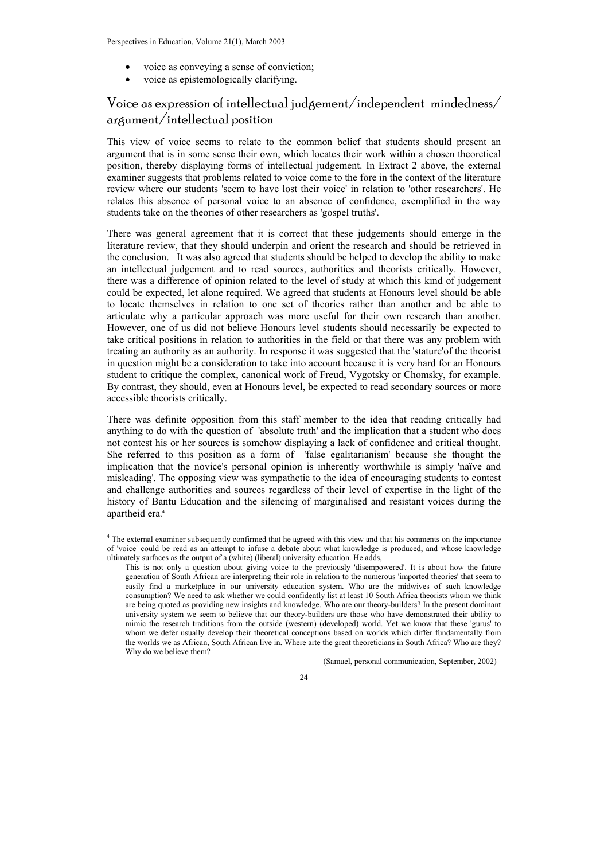- voice as conveying a sense of conviction;
- voice as epistemologically clarifying.

### Voice as expression of intellectual judgement/independent mindedness/ argument/intellectual position

This view of voice seems to relate to the common belief that students should present an argument that is in some sense their own, which locates their work within a chosen theoretical position, thereby displaying forms of intellectual judgement. In Extract 2 above, the external examiner suggests that problems related to voice come to the fore in the context of the literature review where our students 'seem to have lost their voice' in relation to 'other researchers'. He relates this absence of personal voice to an absence of confidence, exemplified in the way students take on the theories of other researchers as 'gospel truths'.

There was general agreement that it is correct that these judgements should emerge in the literature review, that they should underpin and orient the research and should be retrieved in the conclusion. It was also agreed that students should be helped to develop the ability to make an intellectual judgement and to read sources, authorities and theorists critically. However, there was a difference of opinion related to the level of study at which this kind of judgement could be expected, let alone required. We agreed that students at Honours level should be able to locate themselves in relation to one set of theories rather than another and be able to articulate why a particular approach was more useful for their own research than another. However, one of us did not believe Honours level students should necessarily be expected to take critical positions in relation to authorities in the field or that there was any problem with treating an authority as an authority. In response it was suggested that the 'stature'of the theorist in question might be a consideration to take into account because it is very hard for an Honours student to critique the complex, canonical work of Freud, Vygotsky or Chomsky, for example. By contrast, they should, even at Honours level, be expected to read secondary sources or more accessible theorists critically.

There was definite opposition from this staff member to the idea that reading critically had anything to do with the question of 'absolute truth' and the implication that a student who does not contest his or her sources is somehow displaying a lack of confidence and critical thought. She referred to this position as a form of 'false egalitarianism' because she thought the implication that the novice's personal opinion is inherently worthwhile is simply 'naïve and misleading'. The opposing view was sympathetic to the idea of encouraging students to contest and challenge authorities and sources regardless of their level of expertise in the light of the history of Bantu Education and the silencing of marginalised and resistant voices during the apartheid era. 4

(Samuel, personal communication, September, 2002)

<sup>&</sup>lt;sup>4</sup> The external examiner subsequently confirmed that he agreed with this view and that his comments on the importance of 'voice' could be read as an attempt to infuse a debate about what knowledge is produced, and whose knowledge ultimately surfaces as the output of a (white) (liberal) university education. He adds,

This is not only a question about giving voice to the previously 'disempowered'. It is about how the future generation of South African are interpreting their role in relation to the numerous 'imported theories' that seem to easily find a marketplace in our university education system. Who are the midwives of such knowledge consumption? We need to ask whether we could confidently list at least 10 South Africa theorists whom we think are being quoted as providing new insights and knowledge. Who are our theory-builders? In the present dominant university system we seem to believe that our theory-builders are those who have demonstrated their ability to mimic the research traditions from the outside (western) (developed) world. Yet we know that these 'gurus' to whom we defer usually develop their theoretical conceptions based on worlds which differ fundamentally from the worlds we as African, South African live in. Where arte the great theoreticians in South Africa? Who are they? Why do we believe them?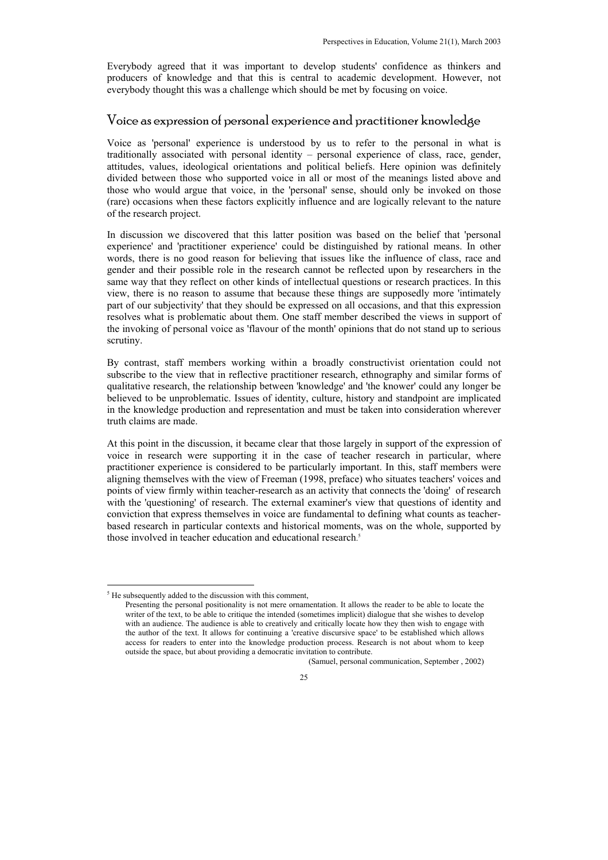Everybody agreed that it was important to develop students' confidence as thinkers and producers of knowledge and that this is central to academic development. However, not everybody thought this was a challenge which should be met by focusing on voice.

### Voice as expression of personal experience and practitioner knowledge

Voice as 'personal' experience is understood by us to refer to the personal in what is traditionally associated with personal identity - personal experience of class, race, gender, attitudes, values, ideological orientations and political beliefs. Here opinion was definitely divided between those who supported voice in all or most of the meanings listed above and those who would argue that voice, in the 'personal' sense, should only be invoked on those (rare) occasions when these factors explicitly influence and are logically relevant to the nature of the research project.

In discussion we discovered that this latter position was based on the belief that 'personal experience' and 'practitioner experience' could be distinguished by rational means. In other words, there is no good reason for believing that issues like the influence of class, race and gender and their possible role in the research cannot be reflected upon by researchers in the same way that they reflect on other kinds of intellectual questions or research practices. In this view, there is no reason to assume that because these things are supposedly more 'intimately part of our subjectivity' that they should be expressed on all occasions, and that this expression resolves what is problematic about them. One staff member described the views in support of the invoking of personal voice as 'flavour of the month' opinions that do not stand up to serious scrutiny.

By contrast, staff members working within a broadly constructivist orientation could not subscribe to the view that in reflective practitioner research, ethnography and similar forms of qualitative research, the relationship between 'knowledge' and 'the knower' could any longer be believed to be unproblematic. Issues of identity, culture, history and standpoint are implicated in the knowledge production and representation and must be taken into consideration wherever truth claims are made.

At this point in the discussion, it became clear that those largely in support of the expression of voice in research were supporting it in the case of teacher research in particular, where practitioner experience is considered to be particularly important. In this, staff members were aligning themselves with the view of Freeman (1998, preface) who situates teachers' voices and points of view firmly within teacher-research as an activity that connects the 'doing' of research with the 'questioning' of research. The external examiner's view that questions of identity and conviction that express themselves in voice are fundamental to defining what counts as teacherbased research in particular contexts and historical moments, was on the whole, supported by those involved in teacher education and educational research. 5

(Samuel, personal communication, September , 2002)

<sup>&</sup>lt;sup>5</sup> He subsequently added to the discussion with this comment,

Presenting the personal positionality is not mere ornamentation. It allows the reader to be able to locate the writer of the text, to be able to critique the intended (sometimes implicit) dialogue that she wishes to develop with an audience. The audience is able to creatively and critically locate how they then wish to engage with the author of the text. It allows for continuing a 'creative discursive space' to be established which allows access for readers to enter into the knowledge production process. Research is not about whom to keep outside the space, but about providing a democratic invitation to contribute.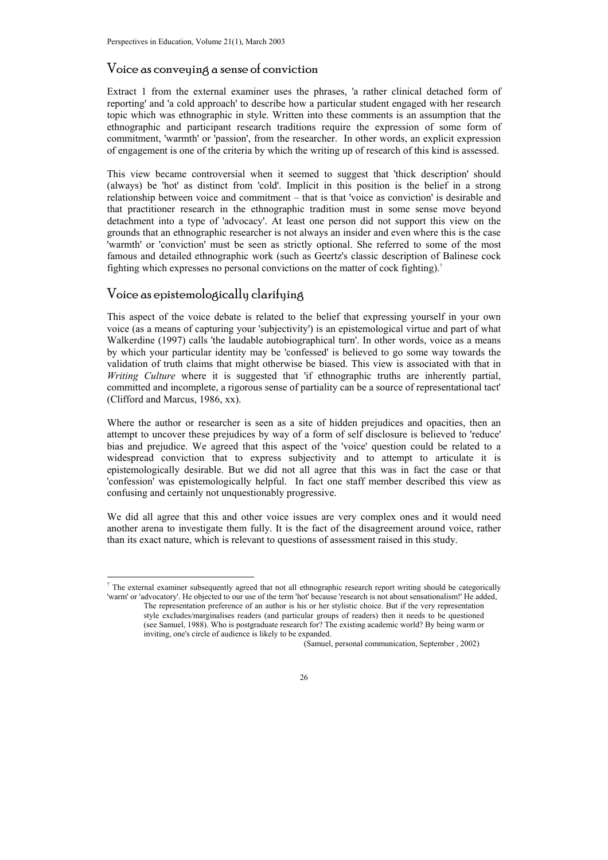### Voice as conveying a sense of conviction

Extract 1 from the external examiner uses the phrases, 'a rather clinical detached form of reporting' and 'a cold approach' to describe how a particular student engaged with her research topic which was ethnographic in style. Written into these comments is an assumption that the ethnographic and participant research traditions require the expression of some form of commitment, 'warmth' or 'passion', from the researcher. In other words, an explicit expression of engagement is one of the criteria by which the writing up of research of this kind is assessed.

This view became controversial when it seemed to suggest that 'thick description' should (always) be 'hot' as distinct from 'cold'. Implicit in this position is the belief in a strong relationship between voice and commitment – that is that 'voice as conviction' is desirable and that practitioner research in the ethnographic tradition must in some sense move beyond detachment into a type of 'advocacy'. At least one person did not support this view on the grounds that an ethnographic researcher is not always an insider and even where this is the case 'warmth' or 'conviction' must be seen as strictly optional. She referred to some of the most famous and detailed ethnographic work (such as Geertz's classic description of Balinese cock fighting which expresses no personal convictions on the matter of cock fighting).<sup>7</sup>

### Voice as epistemologically clarifying

This aspect of the voice debate is related to the belief that expressing yourself in your own voice (as a means of capturing your 'subjectivity') is an epistemological virtue and part of what Walkerdine (1997) calls 'the laudable autobiographical turn'. In other words, voice as a means by which your particular identity may be 'confessed' is believed to go some way towards the validation of truth claims that might otherwise be biased. This view is associated with that in *Writing Culture* where it is suggested that 'if ethnographic truths are inherently partial, committed and incomplete, a rigorous sense of partiality can be a source of representational tact' (Clifford and Marcus, 1986, xx).

Where the author or researcher is seen as a site of hidden prejudices and opacities, then an attempt to uncover these prejudices by way of a form of self disclosure is believed to 'reduce' bias and prejudice. We agreed that this aspect of the 'voice' question could be related to a widespread conviction that to express subjectivity and to attempt to articulate it is epistemologically desirable. But we did not all agree that this was in fact the case or that 'confession' was epistemologically helpful. In fact one staff member described this view as confusing and certainly not unquestionably progressive.

We did all agree that this and other voice issues are very complex ones and it would need another arena to investigate them fully. It is the fact of the disagreement around voice, rather than its exact nature, which is relevant to questions of assessment raised in this study.

<sup>7</sup> The external examiner subsequently agreed that not all ethnographic research report writing should be categorically 'warm' or 'advocatory'. He objected to our use of the term 'hot' because 'research is not about sensationalism!' He added,

The representation preference of an author is his or her stylistic choice. But if the very representation style excludes/marginalises readers (and particular groups of readers) then it needs to be questioned (see Samuel, 1988). Who is postgraduate research for? The existing academic world? By being warm or inviting, one's circle of audience is likely to be expanded.

<sup>(</sup>Samuel, personal communication, September , 2002)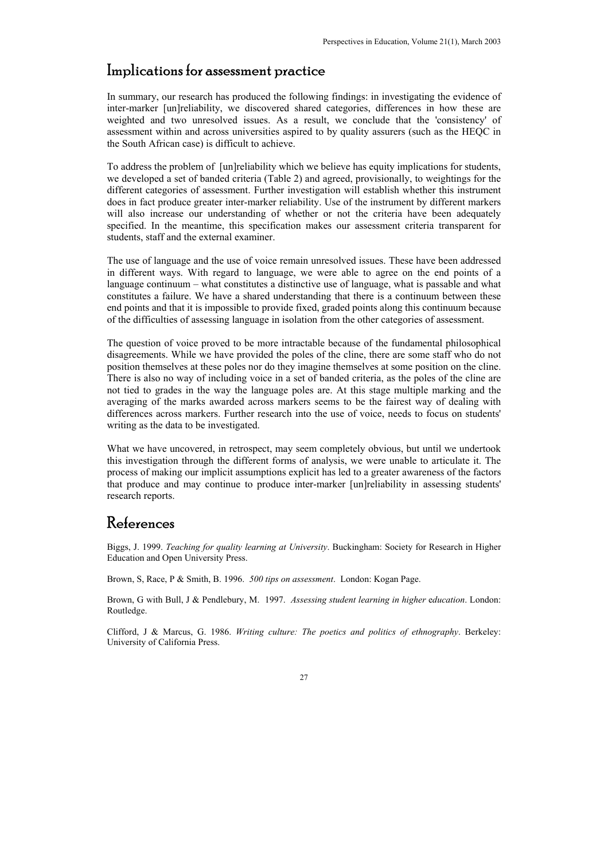### Implications for assessment practice

In summary, our research has produced the following findings: in investigating the evidence of inter-marker [un]reliability, we discovered shared categories, differences in how these are weighted and two unresolved issues. As a result, we conclude that the 'consistency' of assessment within and across universities aspired to by quality assurers (such as the HEQC in the South African case) is difficult to achieve.

To address the problem of [un]reliability which we believe has equity implications for students, we developed a set of banded criteria (Table 2) and agreed, provisionally, to weightings for the different categories of assessment. Further investigation will establish whether this instrument does in fact produce greater inter-marker reliability. Use of the instrument by different markers will also increase our understanding of whether or not the criteria have been adequately specified. In the meantime, this specification makes our assessment criteria transparent for students, staff and the external examiner.

The use of language and the use of voice remain unresolved issues. These have been addressed in different ways. With regard to language, we were able to agree on the end points of a language continuum  $-$  what constitutes a distinctive use of language, what is passable and what constitutes a failure. We have a shared understanding that there is a continuum between these end points and that it is impossible to provide fixed, graded points along this continuum because of the difficulties of assessing language in isolation from the other categories of assessment.

The question of voice proved to be more intractable because of the fundamental philosophical disagreements. While we have provided the poles of the cline, there are some staff who do not position themselves at these poles nor do they imagine themselves at some position on the cline. There is also no way of including voice in a set of banded criteria, as the poles of the cline are not tied to grades in the way the language poles are. At this stage multiple marking and the averaging of the marks awarded across markers seems to be the fairest way of dealing with differences across markers. Further research into the use of voice, needs to focus on students' writing as the data to be investigated.

What we have uncovered, in retrospect, may seem completely obvious, but until we undertook this investigation through the different forms of analysis, we were unable to articulate it. The process of making our implicit assumptions explicit has led to a greater awareness of the factors that produce and may continue to produce inter-marker [un]reliability in assessing students' research reports.

# References

Biggs, J. 1999. *Teaching for quality learning at University*. Buckingham: Society for Research in Higher Education and Open University Press.

Brown, S, Race, P & Smith, B. 1996. *500 tips on assessment*. London: Kogan Page.

Brown, G with Bull, J & Pendlebury, M. 1997. *Assessing student learning in higher* e*ducation*. London: Routledge.

Clifford, J & Marcus, G. 1986. *Writing culture: The poetics and politics of ethnography*. Berkeley: University of California Press.